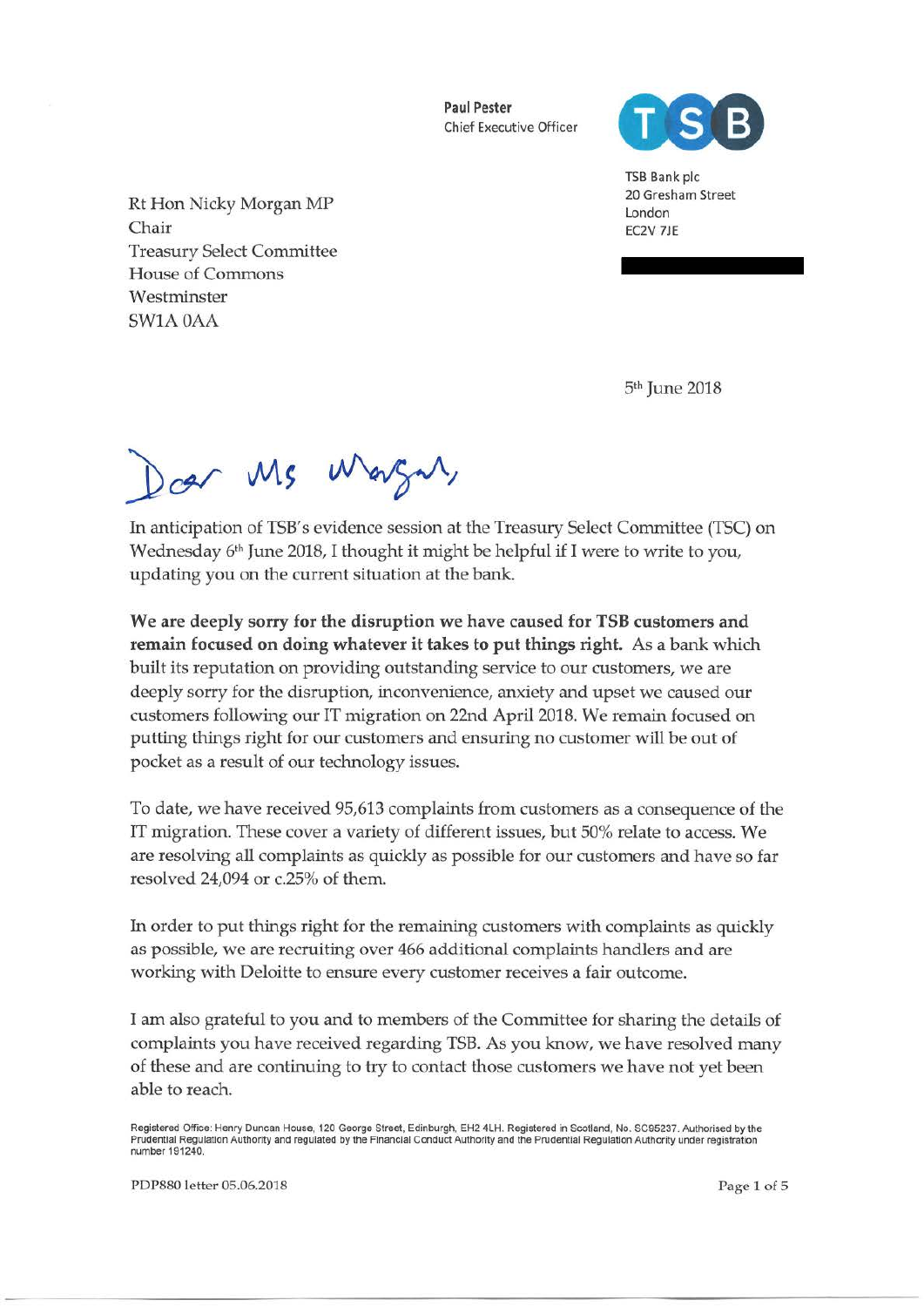Paul Pester Chief Executive Officer



TSB Bank pie 20 Gresham Street London EC2V 7JE

Rt Hon Nicky Morgan MP Chair Treasury Select Committee House of Commons **Westminster** SW1AOAA

5<sup>th</sup> June 2018

Doer Ms Wargar,

In anticipation of TSB's evidence session at the Treasury Select Committee (TSC) on Wednesday 6<sup>th</sup> June 2018, I thought it might be helpful if I were to write to you, updating you on the current situation at the bank.

We are deeply sorry for the disruption we have caused for TSB customers and remain focused on doing whatever it takes to put things right. As a bank which built its reputation on providing outstanding service to our customers, we are deeply sorry for the disruption, inconvenience, anxiety and upset we caused our customers following our IT migration on 22nd April 2018. We remain focused on putting things right for our customers and ensuring no customer will be out of pocket as a result of our technology issues.

To date, we have received 95,613 complaints from customers as a consequence of the IT migration. These cover a variety of different issues, but 50% relate to access. We are resolving all complaints as quickly as possible for our customers and have so far resolved 24,094 or c.25% of them.

In order to put things right for the remaining customers with complaints as quickly as possible, we are recruiting over 466 additional complaints handlers and are working with Deloitte to ensure every customer receives a fair outcome.

I am also grateful to you and to members of the Committee for sharing the details of complaints you have received regarding TSB. As you know, we have resolved many of these and are continuing to try to contact those customers we have not yet been able to reach.

Registered Office: Henry Duncan House, 120 George Street, Edinburgh, EH2 4LH. Registered in Scotland, No. SC95237. Authorised by the<br>Prudential Regulation Authority and regulated by the Financial Conduct Authority and the number 191240.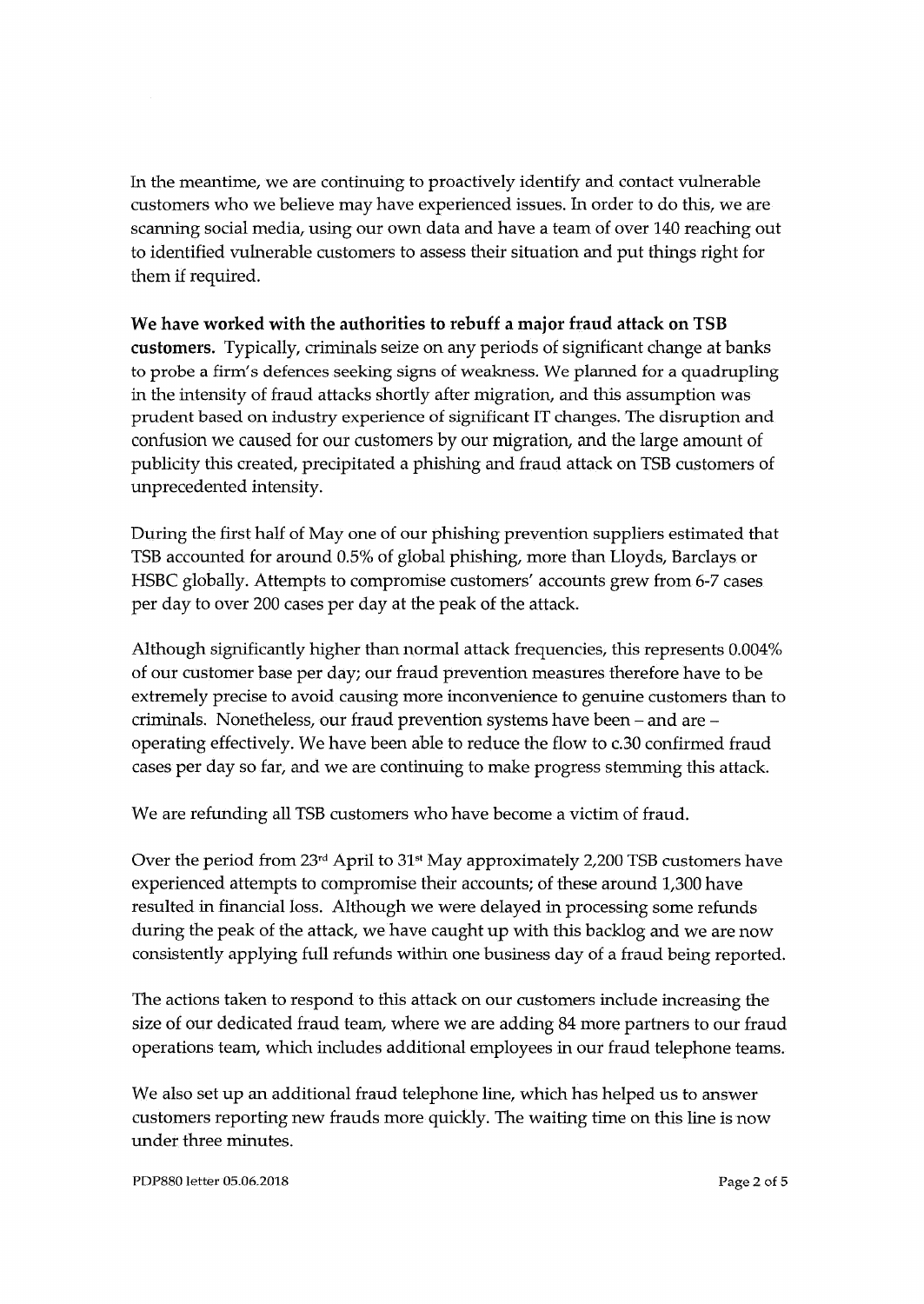In the meantime, we are continuing to proactively identify and contact vulnerable customers who we believe may have experienced issues. In order to do this, we are scanning social media, using our own data and have a team of over 140 reaching out to identified vulnerable customers to assess their situation and put things right for them if required.

**We have worked with the authorities to rebuff a major fraud attack on TSB customers.** Typically, criminals seize on any periods of significant change at banks to probe a firm's defences seeking signs of weakness. We planned for a quadrupling in the intensity of fraud attacks shortly after migration, and this assumption was prudent based on industry experience of significant IT changes. The disruption and confusion we caused for our customers by our migration, and the large amount of publicity this created, precipitated a phishing and fraud attack on TSB customers of unprecedented intensity.

During the first half of May one of our phishing prevention suppliers estimated that TSB accounted for around 0.5% of global phishing, more than Lloyds, Barclays or HSBC globally. Attempts to compromise customers' accounts grew from 6-7 cases per day to over 200 cases per day at the peak of the attack.

Although significantly higher than normal attack frequencies, this represents 0.004% of our customer base per day; our fraud prevention measures therefore have to be extremely precise to avoid causing more inconvenience to genuine customers than to criminals. Nonetheless, our fraud prevention systems have been- and are operating effectively. We have been able to reduce the flow to c.30 confirmed fraud cases per day so far, and we are continuing to make progress stemming this attack.

We are refunding all TSB customers who have become a victim of fraud.

Over the period from 23<sup>rd</sup> April to 31<sup>st</sup> May approximately 2,200 TSB customers have experienced attempts to compromise their accounts; of these around 1,300 have resulted in financial loss. Although we were delayed in processing some refunds during the peak of the attack, we have caught up with this backlog and we are now consistently applying full refunds within one business day of a fraud being reported.

The actions taken to respond to this attack on our customers include increasing the size of our dedicated fraud team, where we are adding 84 more partners to our fraud operations team, which includes additional employees in our fraud telephone teams.

We also set up an additional fraud telephone line, which has helped us to answer customers reporting new frauds more quickly. The waiting time on this line is now under three minutes.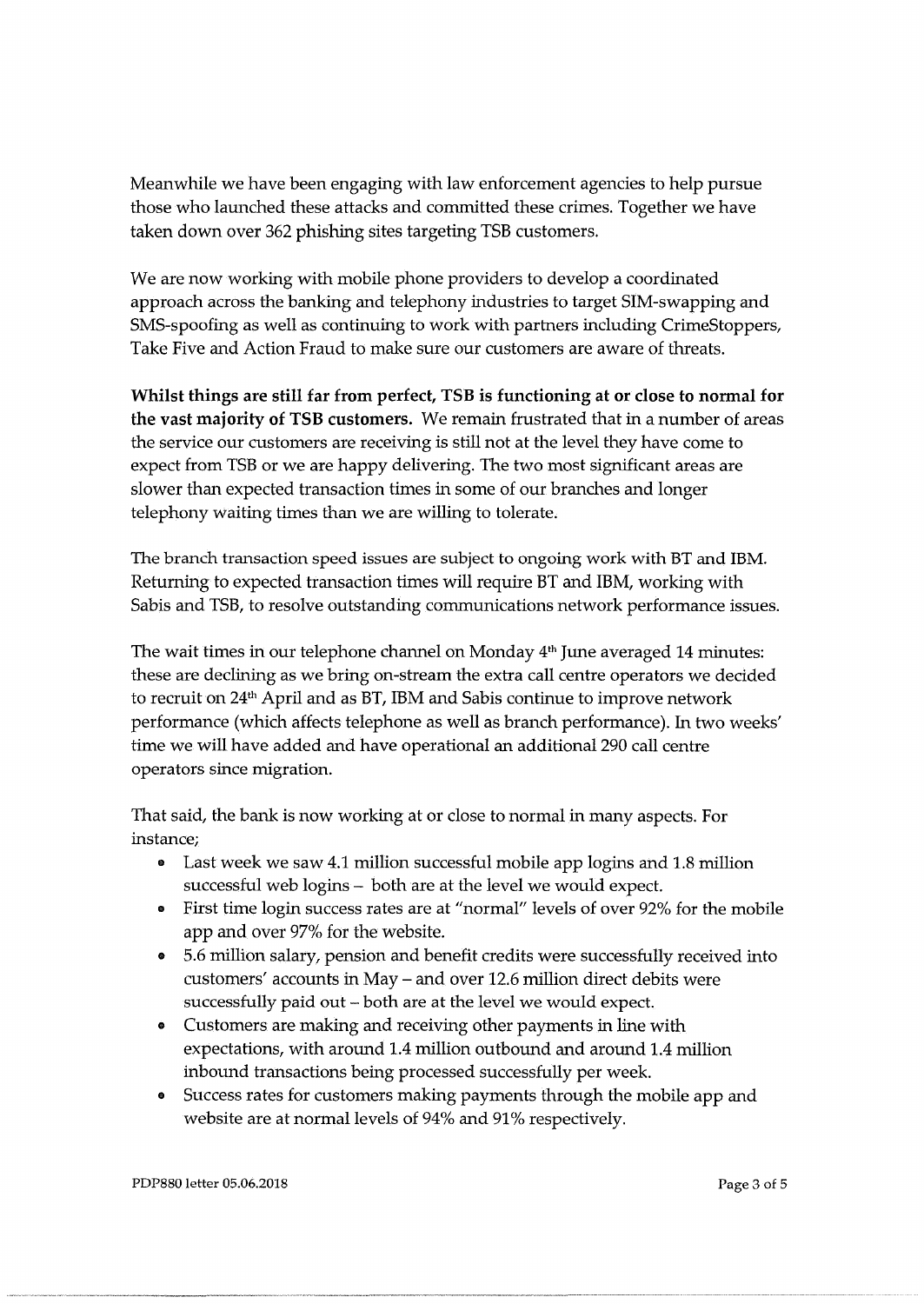Meanwhile we have been engaging with law enforcement agencies to help pursue those who launched these attacks and committed these crimes. Together we have taken down over 362 phishing sites targeting TSB customers.

We are now working with mobile phone providers to develop a coordinated approach across the banking and telephony industries to target SIM-swapping and SMS-spoofing as well as continuing to work with partners including CrimeStoppers, Take Five and Action Fraud to make sure our customers are aware of threats.

**Whilst things are still far from perfect, TSB is functioning at or close to normal for the vast majority of TSB customers.** We remain frustrated that in a number of areas the service our customers are receiving is still not at the level they have come to expect from TSB or we are happy delivering. The two most significant areas are slower than expected transaction times in some of our branches and longer telephony waiting times than we are willing to tolerate.

The branch transaction speed issues are subject to ongoing work with BT and IBM. Returning to expected transaction times will require BT and IBM, working with Sabis and TSB, to resolve outstanding communications network performance issues.

The wait times in our telephone channel on Monday 4<sup>th</sup> June averaged 14 minutes: these are declining as we bring on-stream the extra call centre operators we decided to recruit on 24<sup>th</sup> April and as BT, IBM and Sabis continue to improve network performance (which affects telephone as well as branch performance). In two weeks' time we will have added and have operational an additional 290 call centre operators since migration.

That said, the bank is now working at or close to normal in many aspects. For instance;

- Last week we saw 4.1 million successful mobile app logins and 1.8 million successful web logins - both are at the level we would expect.
- First time login success rates are at "normal" levels of over 92% for the mobile app and over 97% for the website.
- 5.6 million salary, pension and benefit credits were successfully received into customers' accounts in May- and over 12.6 million direct debits were successfully paid out - both are at the level we would expect.
- Customers are making and receiving other payments in line with expectations, with around 1.4 million outbound and around 1.4 million inbound transactions being processed successfully per week.
- Success rates for customers making payments through the mobile app and website are at normal levels of 94% and 91% respectively.

PDP880 letter 05.06.2018 Page 3 of 5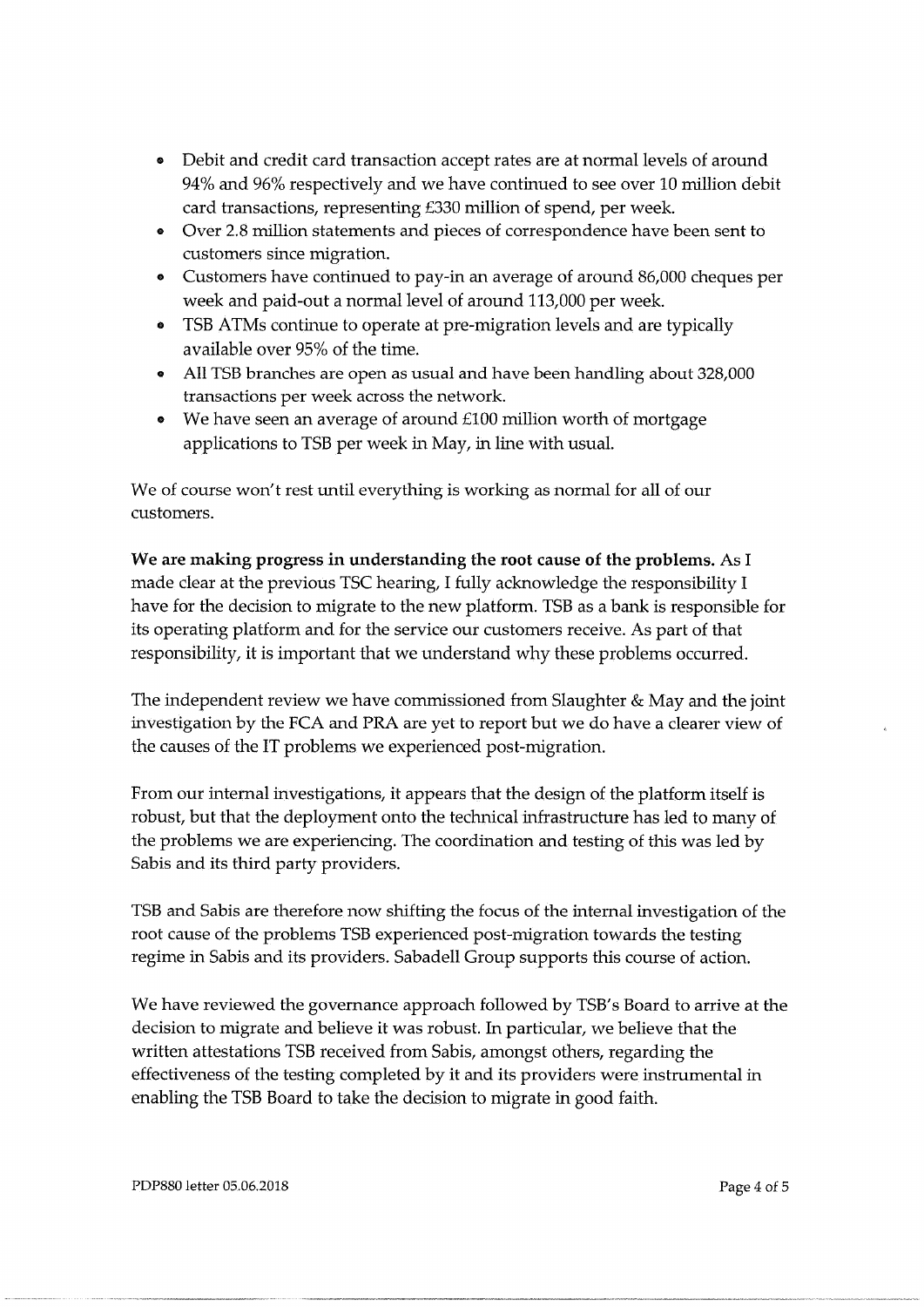- Debit and credit card transaction accept rates are at normal levels of around 94% and 96% respectively and we have continued to see over 10 million debit card transactions, representing £330 million of spend, per week.
- Over 2.8 million statements and pieces of correspondence have been sent to customers since migration.
- Customers have continued to pay-in an average of around 86,000 cheques per week and paid-out a normal level of around 113,000 per week
- TSB ATMs continue to operate at pre-migration levels and are typically available over 95% of the time.
- All TSB branches are open as usual and have been handling about 328,000 transactions per week across the network.
- We have seen an average of around  $£100$  million worth of mortgage applications to TSB per week in May, in line with usual.

We of course won't rest until everything is working as normal for all of our customers.

**We are making progress in understanding the root cause of the problems.** As I made clear at the previous TSC hearing, I fully acknowledge the responsibility I have for the decision to migrate to the new platform. TSB as a bank is responsible for its operating platform and for the service our customers receive. As part of that responsibility, it is important that we understand why these problems occurred.

The independent review we have commissioned from Slaughter & May and the joint investigation by the FCA and PRA are yet to report but we do have a clearer view of the causes of the IT problems we experienced post-migration.

From our internal investigations, it appears that the design of the platform itself is robust, but that the deployment onto the technical infrastructure has led to many of the problems we are experiencing. The coordination and testing of this was led by Sabis and its third party providers.

TSB and Sabis are therefore now shifting the focus of the internal investigation of the root cause of the problems TSB experienced post-migration towards the testing regime in Sabis and its providers. Sabadell Group supports this course of action.

We have reviewed the governance approach followed by TSB's Board to arrive at the decision to migrate and believe it was robust. In particular, we believe that the written attestations TSB received from Sabis, amongst others, regarding the effectiveness of the testing completed by it and its providers were instrumental in enabling the TSB Board to take the decision to migrate in good faith.